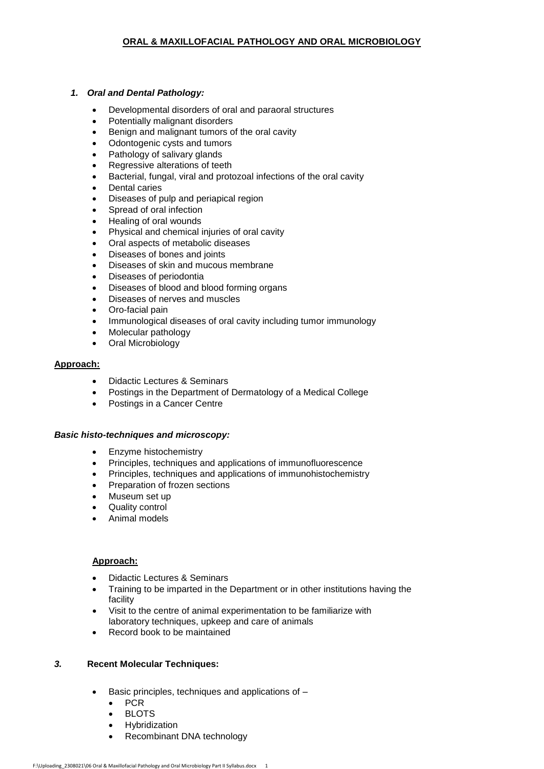# *1. Oral and Dental Pathology:*

- Developmental disorders of oral and paraoral structures
- Potentially malignant disorders
- Benign and malignant tumors of the oral cavity
- Odontogenic cysts and tumors
- Pathology of salivary glands
- Regressive alterations of teeth
- Bacterial, fungal, viral and protozoal infections of the oral cavity
- Dental caries
- Diseases of pulp and periapical region
- Spread of oral infection
- Healing of oral wounds
- Physical and chemical injuries of oral cavity
- Oral aspects of metabolic diseases
- Diseases of bones and joints
- Diseases of skin and mucous membrane
- Diseases of periodontia
- Diseases of blood and blood forming organs
- Diseases of nerves and muscles
- Oro-facial pain
- Immunological diseases of oral cavity including tumor immunology
- Molecular pathology
- Oral Microbiology

### **Approach:**

- Didactic Lectures & Seminars
- Postings in the Department of Dermatology of a Medical College
- Postings in a Cancer Centre

#### *Basic histo-techniques and microscopy:*

- Enzyme histochemistry
- Principles, techniques and applications of immunofluorescence
- Principles, techniques and applications of immunohistochemistry
- Preparation of frozen sections
- Museum set up
- Quality control
- Animal models

#### **Approach:**

- Didactic Lectures & Seminars
- Training to be imparted in the Department or in other institutions having the facility
- Visit to the centre of animal experimentation to be familiarize with laboratory techniques, upkeep and care of animals
- Record book to be maintained

## *3.* **Recent Molecular Techniques:**

- Basic principles, techniques and applications of
	- $\bullet$  PCR
	- BLOTS
	- **•** Hybridization
	- Recombinant DNA technology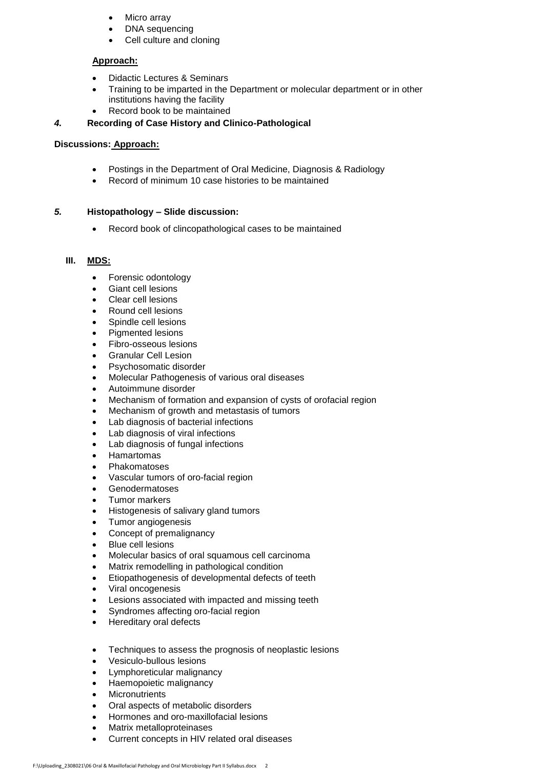- Micro array
- DNA sequencing
- Cell culture and cloning

# **Approach:**

- Didactic Lectures & Seminars
- Training to be imparted in the Department or molecular department or in other institutions having the facility
- Record book to be maintained

# *4.* **Recording of Case History and Clinico-Pathological**

# **Discussions: Approach:**

- Postings in the Department of Oral Medicine, Diagnosis & Radiology
- Record of minimum 10 case histories to be maintained

# *5.* **Histopathology – Slide discussion:**

Record book of clincopathological cases to be maintained

# **III. MDS:**

- Forensic odontology
- Giant cell lesions
- Clear cell lesions
- Round cell lesions
- Spindle cell lesions
- Pigmented lesions
- Fibro-osseous lesions
- Granular Cell Lesion
- Psychosomatic disorder
- Molecular Pathogenesis of various oral diseases
- Autoimmune disorder
- Mechanism of formation and expansion of cysts of orofacial region
- Mechanism of growth and metastasis of tumors
- Lab diagnosis of bacterial infections
- Lab diagnosis of viral infections
- Lab diagnosis of fungal infections
- Hamartomas
- Phakomatoses
- Vascular tumors of oro-facial region
- Genodermatoses
- Tumor markers
- Histogenesis of salivary gland tumors
- Tumor angiogenesis
- Concept of premalignancy
- Blue cell lesions
- Molecular basics of oral squamous cell carcinoma
- Matrix remodelling in pathological condition
- Etiopathogenesis of developmental defects of teeth
- Viral oncogenesis
- Lesions associated with impacted and missing teeth
- Syndromes affecting oro-facial region
- Hereditary oral defects
- Techniques to assess the prognosis of neoplastic lesions
- Vesiculo-bullous lesions
- Lymphoreticular malignancy
- Haemopoietic malignancy
- **Micronutrients**
- Oral aspects of metabolic disorders
- Hormones and oro-maxillofacial lesions
- Matrix metalloproteinases
- Current concepts in HIV related oral diseases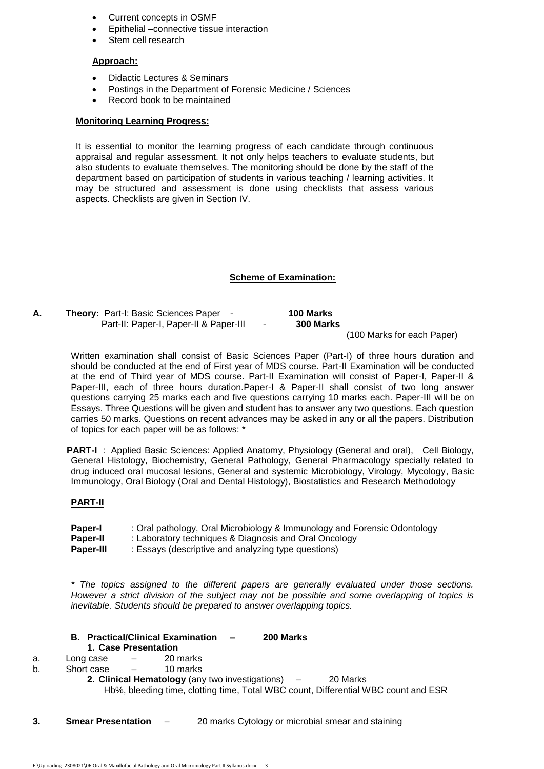- Current concepts in OSMF
- Epithelial –connective tissue interaction
- Stem cell research

### **Approach:**

- Didactic Lectures & Seminars
- Postings in the Department of Forensic Medicine / Sciences
- Record book to be maintained

#### **Monitoring Learning Progress:**

It is essential to monitor the learning progress of each candidate through continuous appraisal and regular assessment. It not only helps teachers to evaluate students, but also students to evaluate themselves. The monitoring should be done by the staff of the department based on participation of students in various teaching / learning activities. It may be structured and assessment is done using checklists that assess various aspects. Checklists are given in Section IV.

### **Scheme of Examination:**

**A. Theory:** Part-I: Basic Sciences Paper - **100 Marks** Part-II: Paper-I, Paper-II & Paper-III - 300 Marks

(100 Marks for each Paper)

Written examination shall consist of Basic Sciences Paper (Part-I) of three hours duration and should be conducted at the end of First year of MDS course. Part-II Examination will be conducted at the end of Third year of MDS course. Part-II Examination will consist of Paper-I, Paper-II & Paper-III, each of three hours duration.Paper-I & Paper-II shall consist of two long answer questions carrying 25 marks each and five questions carrying 10 marks each. Paper-III will be on Essays. Three Questions will be given and student has to answer any two questions. Each question carries 50 marks. Questions on recent advances may be asked in any or all the papers. Distribution of topics for each paper will be as follows: \*

 **PART-I** : Applied Basic Sciences: Applied Anatomy, Physiology (General and oral), Cell Biology, General Histology, Biochemistry, General Pathology, General Pharmacology specially related to drug induced oral mucosal lesions, General and systemic Microbiology, Virology, Mycology, Basic Immunology, Oral Biology (Oral and Dental Histology), Biostatistics and Research Methodology

#### **PART-II**

| Paper-I   | : Oral pathology, Oral Microbiology & Immunology and Forensic Odontology |
|-----------|--------------------------------------------------------------------------|
| Paper-II  | : Laboratory techniques & Diagnosis and Oral Oncology                    |
| Paper-III | : Essays (descriptive and analyzing type questions)                      |

*\* The topics assigned to the different papers are generally evaluated under those sections. However a strict division of the subject may not be possible and some overlapping of topics is inevitable. Students should be prepared to answer overlapping topics.*

**B. Practical/Clinical Examination – 200 Marks**

### **1. Case Presentation**

- a. Long case 20 marks
- b. Short case 10 marks
	- **2. Clinical Hematology** (any two investigations) 20 Marks Hb%, bleeding time, clotting time, Total WBC count, Differential WBC count and ESR
- **3. Smear Presentation** 20 marks Cytology or microbial smear and staining